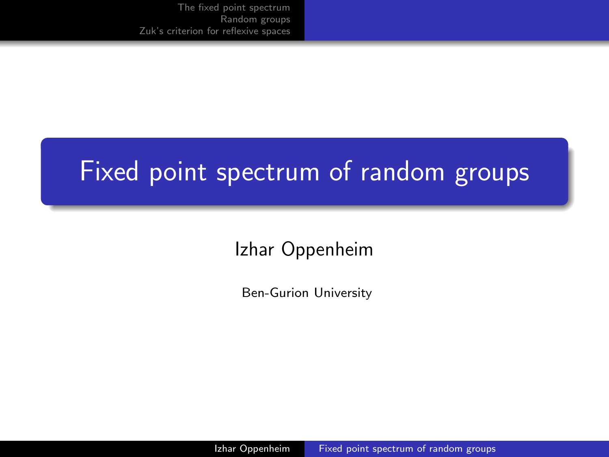#### <span id="page-0-0"></span>Fixed point spectrum of random groups

Izhar Oppenheim

Ben-Gurion University

Izhar Oppenheim [Fixed point spectrum of random groups](#page-20-0)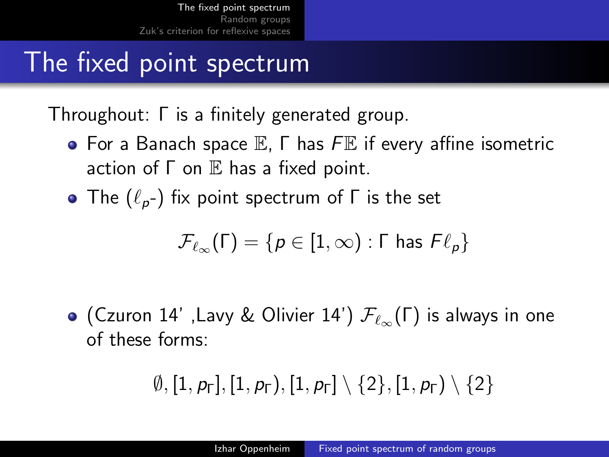### <span id="page-1-0"></span>The fixed point spectrum

Throughout: Γ is a finitely generated group.

- $\bullet$  For a Banach space  $\mathbb E$ ,  $\Gamma$  has  $F\mathbb E$  if every affine isometric action of  $\Gamma$  on  $\mathbb E$  has a fixed point.
- The  $(\ell_p-)$  fix point spectrum of  $\Gamma$  is the set

$$
\mathcal{F}_{\ell_{\infty}}(\Gamma)=\{p\in [1,\infty):\Gamma \text{ has } F\ell_p\}
$$

• (Czuron 14' ,Lavy & Olivier 14')  $\mathcal{F}_{\ell_{\infty}}(\Gamma)$  is always in one of these forms:

$$
\emptyset, [1, \rho_\Gamma], [1, \rho_\Gamma), [1, \rho_\Gamma] \setminus \{2\}, [1, \rho_\Gamma) \setminus \{2\}
$$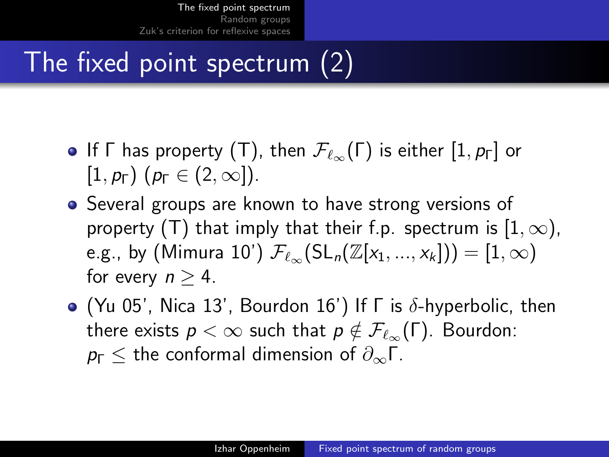# The fixed point spectrum (2)

- **•** If  $\Gamma$  has property (T), then  $\mathcal{F}_{\ell_{\infty}}(\Gamma)$  is either  $[1, p_{\Gamma}]$  or  $[1, p_{\Gamma})$   $(p_{\Gamma} \in (2, \infty])$ .
- Several groups are known to have strong versions of property (T) that imply that their f.p. spectrum is  $[1,\infty)$ , e.g., by (Mimura 10')  $\mathcal{F}_{\ell_{\infty}}(\mathrm{SL}_n(\mathbb{Z}[x_1, ..., x_k])) = [1, \infty)$ for every  $n > 4$ .
- $\bullet$  (Yu 05', Nica 13', Bourdon 16') If  $\Gamma$  is  $\delta$ -hyperbolic, then there exists  $p < \infty$  such that  $p \notin \mathcal{F}_{\ell_{\infty}}(\Gamma)$ . Bourdon:  $p_{\Gamma}$  < the conformal dimension of  $\partial_{\infty}\Gamma$ .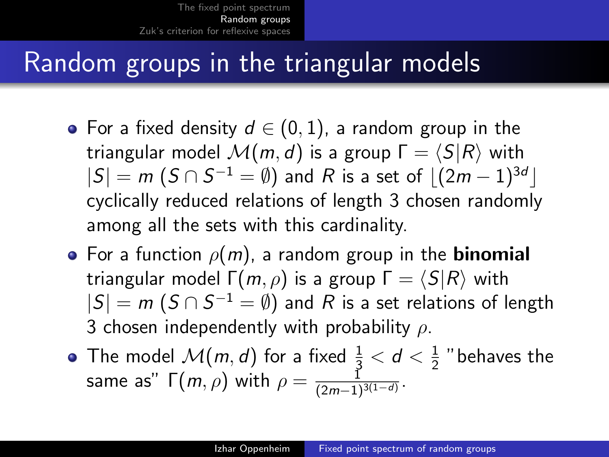## <span id="page-3-0"></span>Random groups in the triangular models

- For a fixed density  $d \in (0,1)$ , a random group in the triangular model  $\mathcal{M}(m, d)$  is a group  $\Gamma = \langle S|R\rangle$  with  $|S| = m~(S\cap S^{-1}=\emptyset)$  and  $R$  is a set of  $\lfloor(2m-1)^{3d}\rfloor$ cyclically reduced relations of length 3 chosen randomly among all the sets with this cardinality.
- For a function  $\rho(m)$ , a random group in the **binomial** triangular model  $\Gamma(m, \rho)$  is a group  $\Gamma = \langle S|R \rangle$  with  $|S| = m$   $(S \cap S^{-1} = \emptyset)$  and  $R$  is a set relations of length 3 chosen independently with probability  $\rho$ .
- The model  $\mathcal{M}(m,d)$  for a fixed  $\frac{1}{3} < d < \frac{1}{2}$  $\frac{1}{2}$  "behaves the same as"  $\Gamma(m,\rho)$  with  $\rho=\frac{\tilde{1}}{(2m-1)^2}$  $\frac{1}{(2m-1)^{3(1-d)}}$ .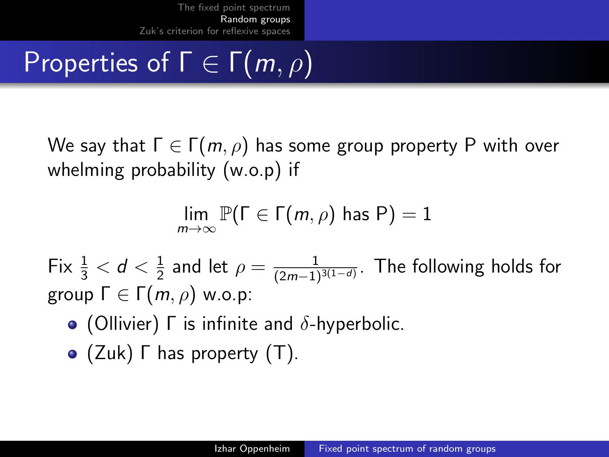# Properties of  $\Gamma \in \Gamma(m, \rho)$

We say that  $\Gamma \in \Gamma(m, \rho)$  has some group property P with over whelming probability (w.o.p) if

$$
\lim_{m\to\infty}\mathbb{P}(\Gamma\in\Gamma(m,\rho)\text{ has }P)=1
$$

Fix  $\frac{1}{3} < d < \frac{1}{2}$  $\frac{1}{2}$  and let  $\rho=\frac{1}{(2m-1)}$  $\frac{1}{(2m-1)^{3(1-d)}}$ . The following holds for group  $\Gamma \in \Gamma(m, \rho)$  w.o.p:

- (Ollivier)  $\Gamma$  is infinite and  $\delta$ -hyperbolic.
- (Zuk) Γ has property (T).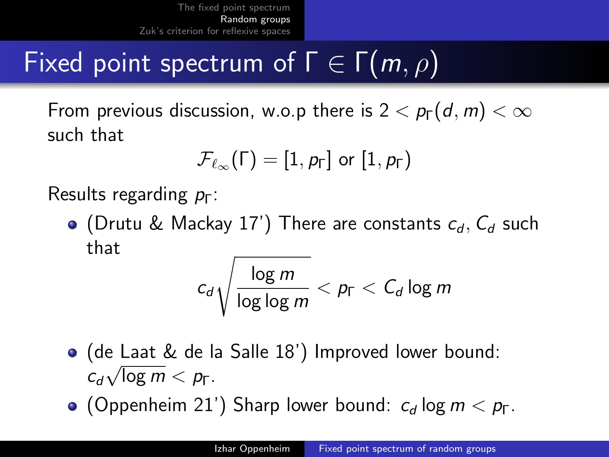# Fixed point spectrum of  $\Gamma \in \Gamma(m, \rho)$

From previous discussion, w.o.p there is  $2 < p_F(d, m) < \infty$ such that

$$
\mathcal{F}_{\ell_{\infty}}(\Gamma)=[1,\rho_{\Gamma}]\;\text{or}\;[1,\rho_{\Gamma})
$$

Results regarding  $p_{\Gamma}$ :

• (Drutu & Mackay 17') There are constants  $c_d$ ,  $C_d$  such that

$$
c_d\sqrt{\frac{\log m}{\log\log m}} < p_\Gamma < C_d\log m
$$

- (de Laat & de la Salle 18') Improved lower bound: √  $c_d\sqrt{\log m} < p_\Gamma$ .
- (Oppenheim 21') Sharp lower bound:  $c_d$  log  $m < p_\Gamma$ .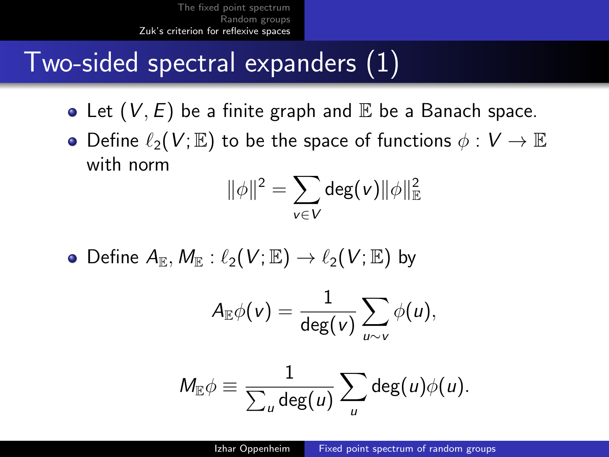## <span id="page-6-0"></span>Two-sided spectral expanders (1)

- Let  $(V, E)$  be a finite graph and  $E$  be a Banach space.
- Define  $\ell_2(V;\mathbb{E})$  to be the space of functions  $\phi: V \to \mathbb{E}$ with norm

$$
\|\phi\|^2 = \sum_{v \in V} \deg(v) \|\phi\|_{\mathbb{E}}^2
$$

• Define  $A_{\mathbb{R}}$ ,  $M_{\mathbb{R}}$ :  $\ell_2(V;\mathbb{E}) \to \ell_2(V;\mathbb{E})$  by

$$
A_{\mathbb{E}}\phi(v)=\frac{1}{\deg(v)}\sum_{u\sim v}\phi(u),
$$

$$
M_{\mathbb{E}}\phi \equiv \frac{1}{\sum_{u} \deg(u)} \sum_{u} \deg(u)\phi(u).
$$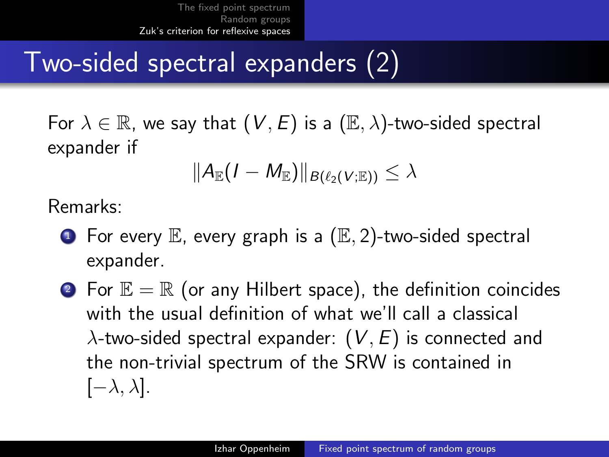## Two-sided spectral expanders (2)

For  $\lambda \in \mathbb{R}$ , we say that  $(V, E)$  is a  $(\mathbb{E}, \lambda)$ -two-sided spectral expander if

$$
\|A_{\mathbb{E}}(I-M_{\mathbb{E}})\|_{B(\ell_2(V;\mathbb{E}))}\leq \lambda
$$

Remarks:

- $\bullet$  For every  $\mathbb E$ , every graph is a  $(\mathbb E, 2)$ -two-sided spectral expander.
- **2** For  $\mathbb{E} = \mathbb{R}$  (or any Hilbert space), the definition coincides with the usual definition of what we'll call a classical  $\lambda$ -two-sided spectral expander:  $(V, E)$  is connected and the non-trivial spectrum of the SRW is contained in  $[-\lambda, \lambda]$ .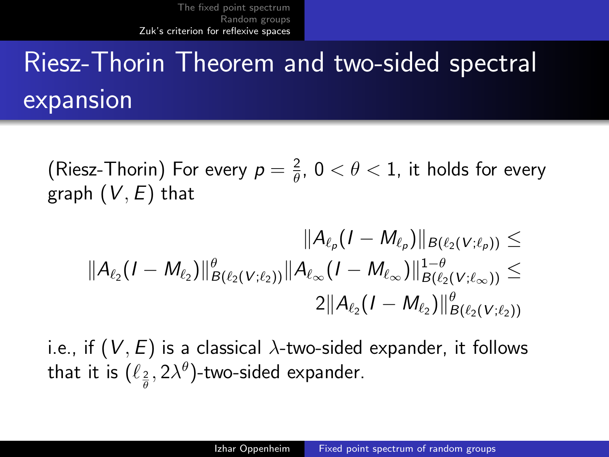# Riesz-Thorin Theorem and two-sided spectral expansion

(Riesz-Thorin) For every  $p=\frac{2}{\theta}$  $\frac{2}{\theta}$ ,  $0 < \theta < 1$ , it holds for every graph  $(V, E)$  that

$$
||A_{\ell_p}(I-M_{\ell_p})||_{B(\ell_2(V;\ell_p))} \leq
$$
  

$$
||A_{\ell_2}(I-M_{\ell_2})||_{B(\ell_2(V;\ell_2))}^{\theta}||A_{\ell_{\infty}}(I-M_{\ell_{\infty}})||_{B(\ell_2(V;\ell_{\infty}))}^{1-\theta} \leq
$$
  

$$
2||A_{\ell_2}(I-M_{\ell_2})||_{B(\ell_2(V;\ell_2))}^{\theta}
$$

i.e., if  $(V, E)$  is a classical  $\lambda$ -two-sided expander, it follows that it is  $(\ell_{\frac{2}{\theta}}, 2\lambda^{\theta})$ -two-sided expander.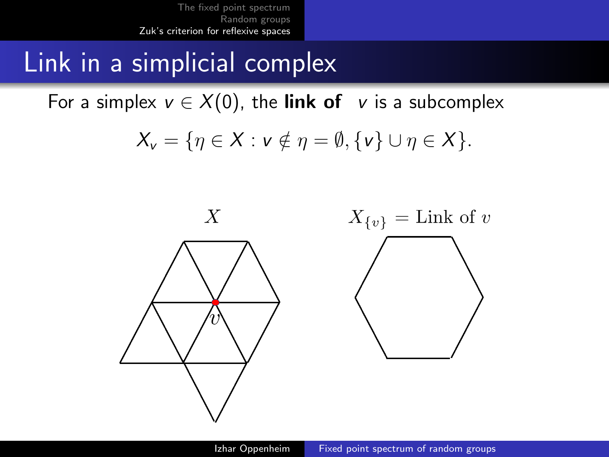Link in a simplicial complex

For a simplex  $v \in X(0)$ , the link of v is a subcomplex

$$
X_{\mathsf{v}} = \{\eta \in X : \mathsf{v} \notin \eta = \emptyset, \{\mathsf{v}\} \cup \eta \in X\}.
$$

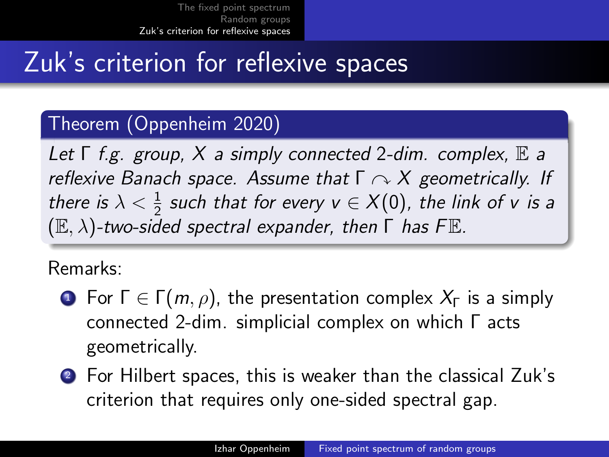## Zuk's criterion for reflexive spaces

#### Theorem (Oppenheim 2020)

Let  $\Gamma$  f.g. group,  $X$  a simply connected 2-dim. complex,  $\mathbb E$  a reflexive Banach space. Assume that  $\Gamma \curvearrowright X$  geometrically. If there is  $\lambda < \frac{1}{2}$  such that for every  $v \in X(0)$ , the link of v is a  $(E, \lambda)$ -two-sided spectral expander, then  $\Gamma$  has FE.

#### Remarks:

- **1** For  $\Gamma \in \Gamma(m, \rho)$ , the presentation complex  $X_{\Gamma}$  is a simply connected 2-dim. simplicial complex on which Γ acts geometrically.
- <sup>2</sup> For Hilbert spaces, this is weaker than the classical Zuk's criterion that requires only one-sided spectral gap.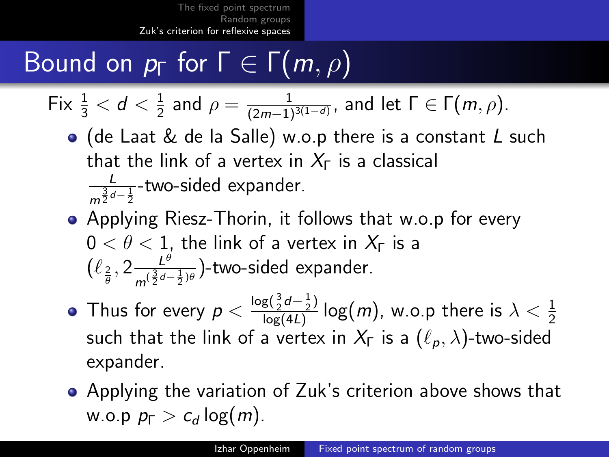# Bound on  $p_{\Gamma}$  for  $\Gamma \in \Gamma(m, \rho)$

Fix 
$$
\frac{1}{3}
$$
 <  $d$  <  $\frac{1}{2}$  and  $\rho = \frac{1}{(2m-1)^{3(1-d)}}$ , and let  $\Gamma \in \Gamma(m, \rho)$ .

- (de Laat & de la Salle) w.o.p there is a constant L such that the link of a vertex in  $X_{\Gamma}$  is a classical L  $\frac{L}{m^{\frac{3}{2}d-\frac{1}{2}}}$ -two-sided expander.
- Applying Riesz-Thorin, it follows that w.o.p for every  $0 < \theta < 1$ , the link of a vertex in  $X_{\Gamma}$  is a  $\left(\ell_{\frac{2}{\theta}}, 2\frac{L^{\theta}}{m^{(\frac{3}{2}d - 1)}}\right)$  $\frac{L^{\nu}}{m^{(\frac{3}{2}d-\frac{1}{2})\theta}}$ )-two-sided expander.
- Thus for every  $p < \frac{\log(\frac{3}{2}d \frac{1}{2})}{\log(4l)}$  $\frac{{\mathsf{g}}(\frac{{\mathsf{g}}}{2}\sigma -\frac{{\mathsf{g}}}{2})} {\log(m)}$ , w.o.p there is  $\lambda < \frac{1}{2}$ such that the link of a vertex in  $X_{\Gamma}$  is a  $(\ell_{p}, \lambda)$ -two-sided expander.
- Applying the variation of Zuk's criterion above shows that w.o.p  $p_{\Gamma} > c_d \log(m)$ .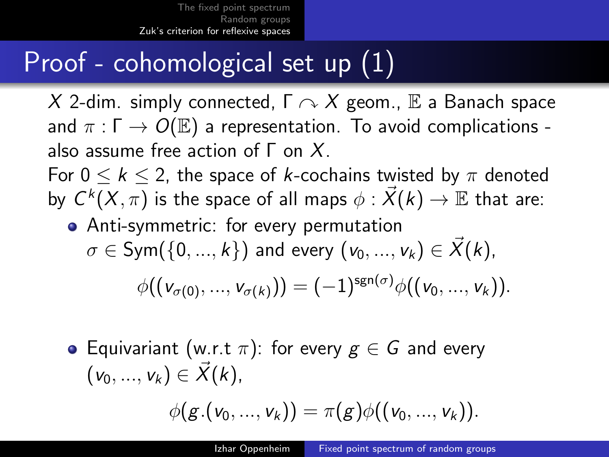# Proof - cohomological set up (1)

X 2-dim. simply connected,  $\Gamma \curvearrowright X$  geom., E a Banach space and  $\pi : \Gamma \to O(E)$  a representation. To avoid complications also assume free action of  $\Gamma$  on  $X$ . For  $0 \leq k \leq 2$ , the space of k-cochains twisted by  $\pi$  denoted by  $\mathsf{C}^k(X,\pi)$  is the space of all maps  $\phi:\vec{\mathsf{X}}(k) \rightarrow \mathbb{E}$  that are:

- Anti-symmetric: for every permutation  $\sigma \in Sym({0,...,k})$  and every  $(v_0,...,v_k) \in X(k)$ ,  $\phi((v_{\sigma(0)},...,v_{\sigma(k)})) = (-1)^{\text{sgn}(\sigma)}\phi((v_0,...,v_k)).$
- Equivariant (w.r.t  $\pi$ ): for every  $g \in G$  and every  $(v_0, ..., v_k) \in \vec{X}(k),$

$$
\phi(g.(v_0,...,v_k)) = \pi(g)\phi((v_0,...,v_k)).
$$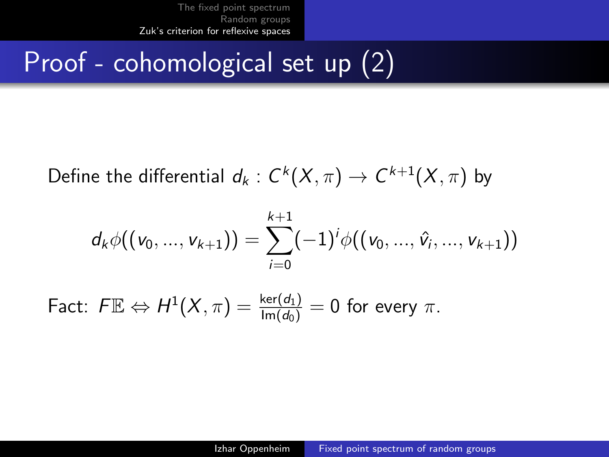# Proof - cohomological set up (2)

Define the differential  $d_k: C^k(X, \pi) \rightarrow C^{k+1}(X, \pi)$  by

$$
d_k \phi((v_0, ..., v_{k+1})) = \sum_{i=0}^{k+1} (-1)^i \phi((v_0, ..., \hat{v}_i, ..., v_{k+1}))
$$

Fact:  $F \mathbb{E} \Leftrightarrow H^1(X, \pi) = \frac{\ker(d_1)}{\text{Im}(d_0)} = 0$  for every  $\pi$ .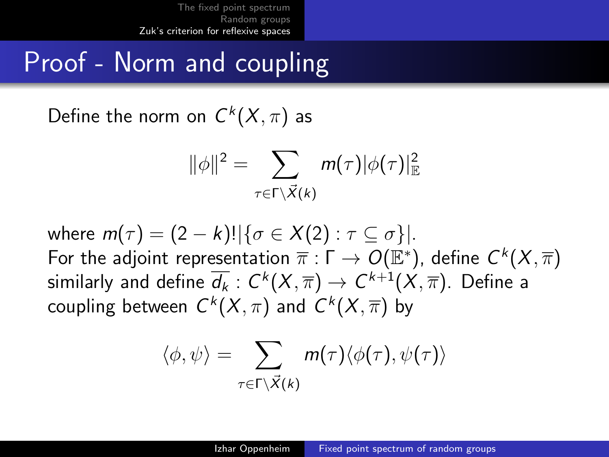## Proof - Norm and coupling

Define the norm on  $C^k(X,\pi)$  as

$$
\|\phi\|^2 = \sum_{\tau \in \Gamma \setminus \vec{X}(k)} m(\tau) |\phi(\tau)|^2_{\mathbb{E}}
$$

where  $m(\tau) = (2 - k)! |\{\sigma \in X(2) : \tau \subset \sigma\}|$ . For the adjoint representation  $\overline{\pi}:\Gamma\to O(\mathbb{E}^*)$ , define  $\mathcal{C}^k(X,\overline{\pi})$ similarly and define  $\overline{d_k}:C^k(X,\overline{\pi})\rightarrow C^{k+1}(X,\overline{\pi}).$  Define a coupling between  $C^k(X,\pi)$  and  $C^k(X,\overline{\pi})$  by

$$
\langle \phi, \psi \rangle = \sum_{\tau \in \Gamma \setminus \vec{X}(k)} m(\tau) \langle \phi(\tau), \psi(\tau) \rangle
$$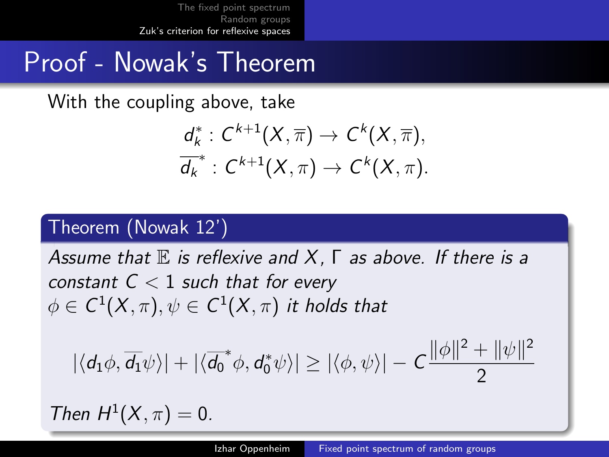### Proof - Nowak's Theorem

With the coupling above, take

$$
\frac{d_k^* : C^{k+1}(X,\overline{\pi}) \to C^k(X,\overline{\pi}),}{d_k^* : C^{k+1}(X,\pi) \to C^k(X,\pi).
$$

#### Theorem (Nowak 12')

Assume that  $E$  is reflexive and X,  $\Gamma$  as above. If there is a constant  $C < 1$  such that for every  $\phi \in \mathcal{C}^1(\mathcal{X},\pi), \psi \in \mathcal{C}^1(\mathcal{X},\pi)$  it holds that

$$
|\langle d_1\phi, \overline{d_1}\psi\rangle| + |\langle \overline{d_0}^*\phi, d_0^*\psi\rangle| \ge |\langle \phi, \psi \rangle| - C \frac{\|\phi\|^2 + \|\psi\|^2}{2}
$$

Then  $H^1(X, \pi) = 0$ .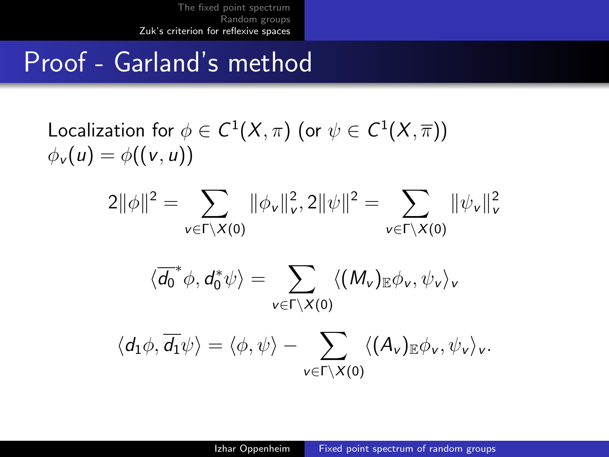## Proof - Garland's method

Localization for 
$$
\phi \in C^1(X, \pi)
$$
 (or  $\psi \in C^1(X, \overline{\pi}))$   
 $\phi_v(u) = \phi((v, u))$ 

$$
2\|\phi\|^2 = \sum_{v \in \Gamma \backslash X(0)} \|\phi_v\|_v^2, 2\|\psi\|^2 = \sum_{v \in \Gamma \backslash X(0)} \|\psi_v\|_v^2
$$

$$
\langle \overline{d_0}^* \phi, d_0^* \psi \rangle = \sum_{v \in \Gamma \backslash X(0)} \langle (M_v)_{\mathbb{E}} \phi_v, \psi_v \rangle_v
$$

$$
\langle d_1\phi,\overline{d_1}\psi\rangle=\langle\phi,\psi\rangle-\sum_{v\in\Gamma\backslash X(\boldsymbol{0})}\langle (A_v)_{\mathbb{E}}\phi_v,\psi_v\rangle_v.
$$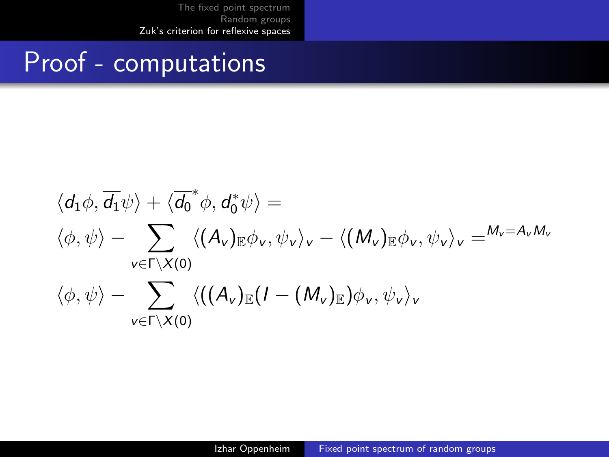### Proof - computations

$$
\langle d_1 \phi, \overline{d_1} \psi \rangle + \langle \overline{d_0}^* \phi, d_0^* \psi \rangle =
$$
  

$$
\langle \phi, \psi \rangle - \sum_{v \in \Gamma \setminus X(0)} \langle (A_v)_{\mathbb{E}} \phi_v, \psi_v \rangle_v - \langle (M_v)_{\mathbb{E}} \phi_v, \psi_v \rangle_v = M_v = A_v M_v
$$
  

$$
\langle \phi, \psi \rangle - \sum_{v \in \Gamma \setminus X(0)} \langle ((A_v)_{\mathbb{E}} (I - (M_v)_{\mathbb{E}}) \phi_v, \psi_v \rangle_v)
$$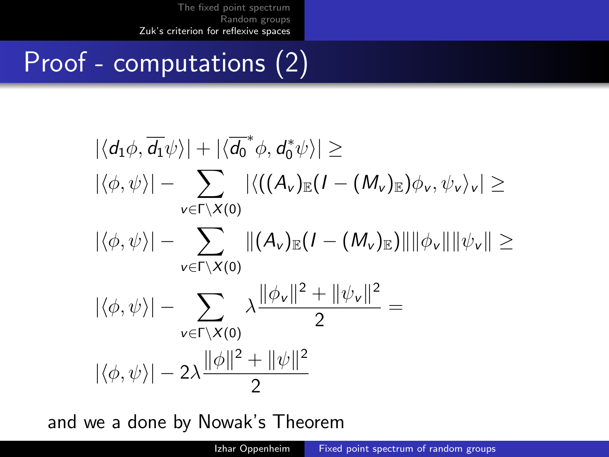# Proof - computations (2)

$$
\begin{aligned}\n|\langle d_1\phi, \overline{d_1}\psi\rangle| &+ |\langle \overline{d_0}^*\phi, d_0^*\psi\rangle| \geq \\
|\langle \phi, \psi \rangle| &- \sum_{v \in \Gamma \backslash X(0)} |\langle ((A_v)_\mathbb{E}(I - (M_v)_\mathbb{E})\phi_v, \psi_v \rangle_v| \geq \\
|\langle \phi, \psi \rangle| &- \sum_{v \in \Gamma \backslash X(0)} \|(A_v)_\mathbb{E}(I - (M_v)_\mathbb{E})\| \|\phi_v\| \|\psi_v\| \geq \\
|\langle \phi, \psi \rangle| &- \sum_{v \in \Gamma \backslash X(0)} \lambda \frac{\|\phi_v\|^2 + \|\psi_v\|^2}{2} = \\
|\langle \phi, \psi \rangle| &- 2\lambda \frac{\|\phi\|^2 + \|\psi\|^2}{2}\n\end{aligned}
$$

and we a done by Nowak's Theorem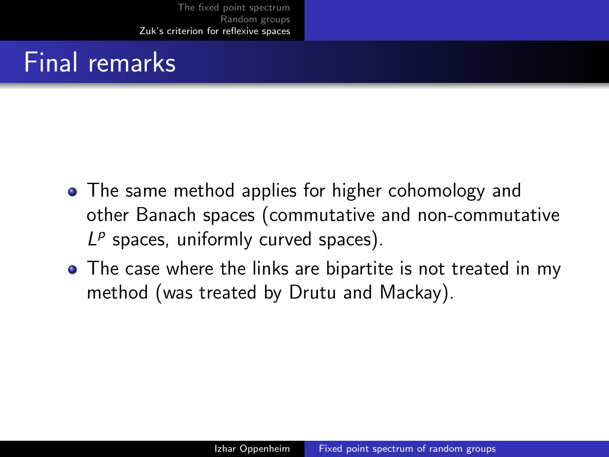## Final remarks

- The same method applies for higher cohomology and other Banach spaces (commutative and non-commutative  $L^p$  spaces, uniformly curved spaces).
- The case where the links are bipartite is not treated in my method (was treated by Drutu and Mackay).